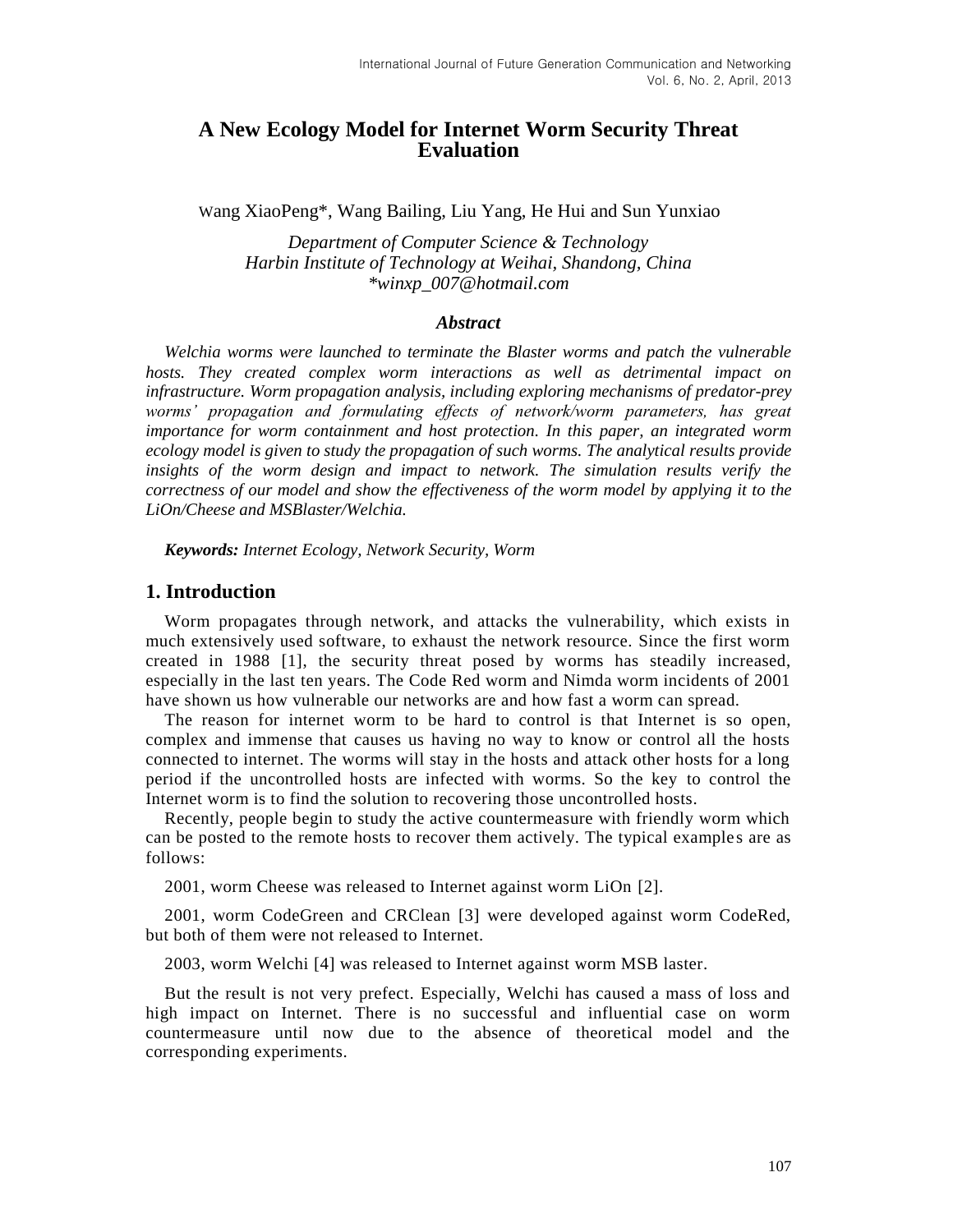# **A New Ecology Model for Internet Worm Security Threat Evaluation**

Wang XiaoPeng\*, Wang Bailing, Liu Yang, He Hui and Sun Yunxiao

*Department of Computer Science & Technology Harbin Institute of Technology at Weihai, Shandong, China \*winxp\_007@hotmail.com*

### *Abstract*

*Welchia worms were launched to terminate the Blaster worms and patch the vulnerable hosts. They created complex worm interactions as well as detrimental impact on infrastructure. Worm propagation analysis, including exploring mechanisms of predator-prey worms' propagation and formulating effects of network/worm parameters, has great importance for worm containment and host protection. In this paper, an integrated worm ecology model is given to study the propagation of such worms. The analytical results provide insights of the worm design and impact to network. The simulation results verify the correctness of our model and show the effectiveness of the worm model by applying it to the LiOn/Cheese and MSBlaster/Welchia.*

*Keywords: Internet Ecology, Network Security, Worm*

## **1. Introduction**

Worm propagates through network, and attacks the vulnerability, which exists in much extensively used software, to exhaust the network resource. Since the first worm created in 1988 [1], the security threat posed by worms has steadily increased, especially in the last ten years. The Code Red worm and Nimda worm incidents of 2001 have shown us how vulnerable our networks are and how fast a worm can spread.

The reason for internet worm to be hard to control is that Internet is so open, complex and immense that causes us having no way to know or control all the hosts connected to internet. The worms will stay in the hosts and attack other hosts for a long period if the uncontrolled hosts are infected with worms. So the key to control the Internet worm is to find the solution to recovering those uncontrolled hosts.

Recently, people begin to study the active countermeasure with friendly worm which can be posted to the remote hosts to recover them actively. The typical examples are as follows:

2001, worm Cheese was released to Internet against worm LiOn [2].

2001, worm CodeGreen and CRClean [3] were developed against worm CodeRed, but both of them were not released to Internet.

2003, worm Welchi [4] was released to Internet against worm MSB laster.

But the result is not very prefect. Especially, Welchi has caused a mass of loss and high impact on Internet. There is no successful and influential case on worm countermeasure until now due to the absence of theoretical model and the corresponding experiments.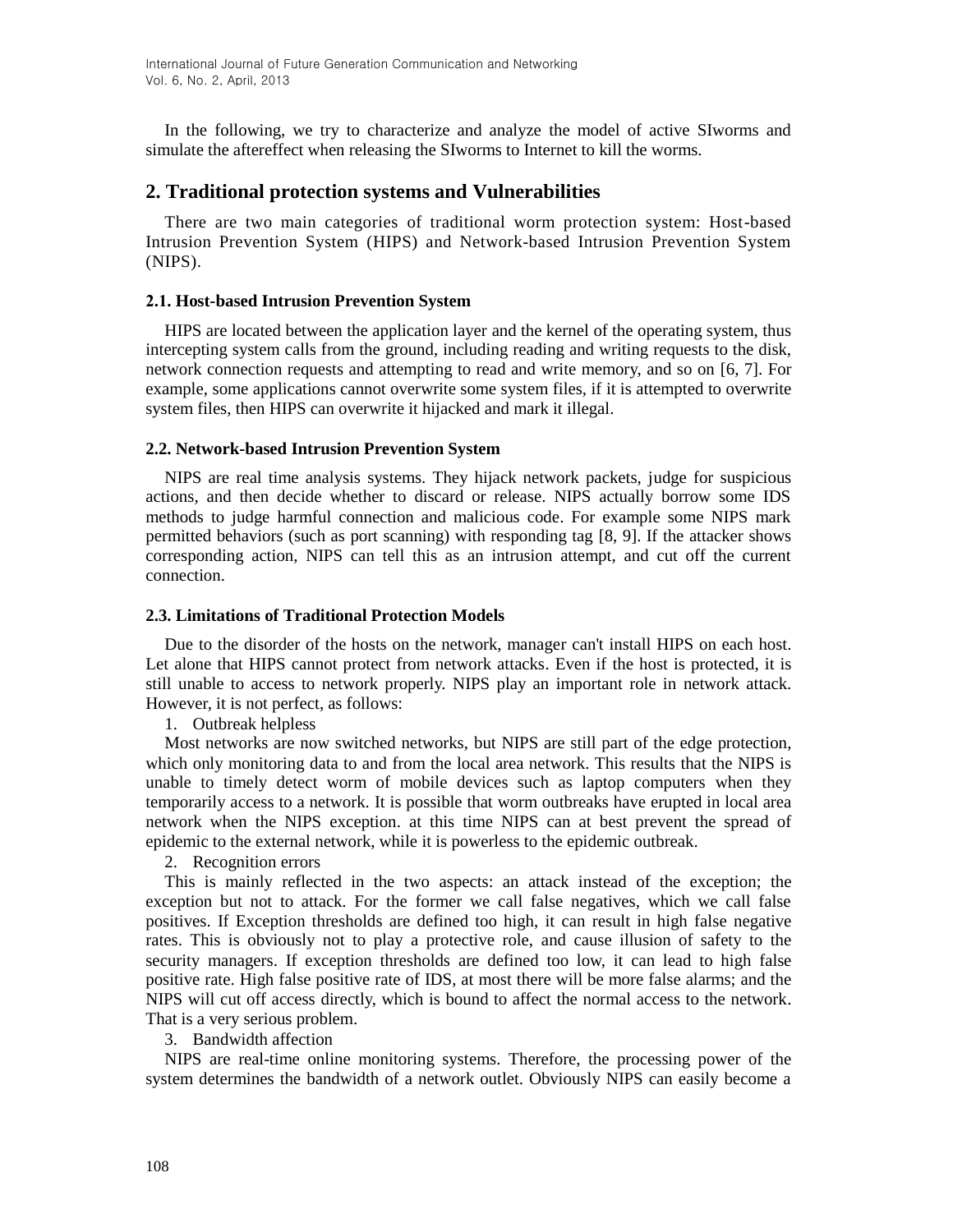In the following, we try to characterize and analyze the model of active SIworms and simulate the aftereffect when releasing the SIworms to Internet to kill the worms.

## **2. Traditional protection systems and Vulnerabilities**

There are two main categories of traditional worm protection system: Host-based Intrusion Prevention System (HIPS) and Network-based Intrusion Prevention System (NIPS).

### **2.1. Host-based Intrusion Prevention System**

HIPS are located between the application layer and the kernel of the operating system, thus intercepting system calls from the ground, including reading and writing requests to the disk, network connection requests and attempting to read and write memory, and so on [6, 7]. For example, some applications cannot overwrite some system files, if it is attempted to overwrite system files, then HIPS can overwrite it hijacked and mark it illegal.

### **2.2. Network-based Intrusion Prevention System**

NIPS are real time analysis systems. They hijack network packets, judge for suspicious actions, and then decide whether to discard or release. NIPS actually borrow some IDS methods to judge harmful connection and malicious code. For example some NIPS mark permitted behaviors (such as port scanning) with responding tag [8, 9]. If the attacker shows corresponding action, NIPS can tell this as an intrusion attempt, and cut off the current connection.

### **2.3. Limitations of Traditional Protection Models**

Due to the disorder of the hosts on the network, manager can't install HIPS on each host. Let alone that HIPS cannot protect from network attacks. Even if the host is protected, it is still unable to access to network properly. NIPS play an important role in network attack. However, it is not perfect, as follows:

1. Outbreak helpless

Most networks are now switched networks, but NIPS are still part of the edge protection, which only monitoring data to and from the local area network. This results that the NIPS is unable to timely detect worm of mobile devices such as laptop computers when they temporarily access to a network. It is possible that worm outbreaks have erupted in local area network when the NIPS exception. at this time NIPS can at best prevent the spread of epidemic to the external network, while it is powerless to the epidemic outbreak.

#### 2. Recognition errors

This is mainly reflected in the two aspects: an attack instead of the exception; the exception but not to attack. For the former we call false negatives, which we call false positives. If Exception thresholds are defined too high, it can result in high false negative rates. This is obviously not to play a protective role, and cause illusion of safety to the security managers. If exception thresholds are defined too low, it can lead to high false positive rate. High false positive rate of IDS, at most there will be more false alarms; and the NIPS will cut off access directly, which is bound to affect the normal access to the network. That is a very serious problem.

### 3. Bandwidth affection

NIPS are real-time online monitoring systems. Therefore, the processing power of the system determines the bandwidth of a network outlet. Obviously NIPS can easily become a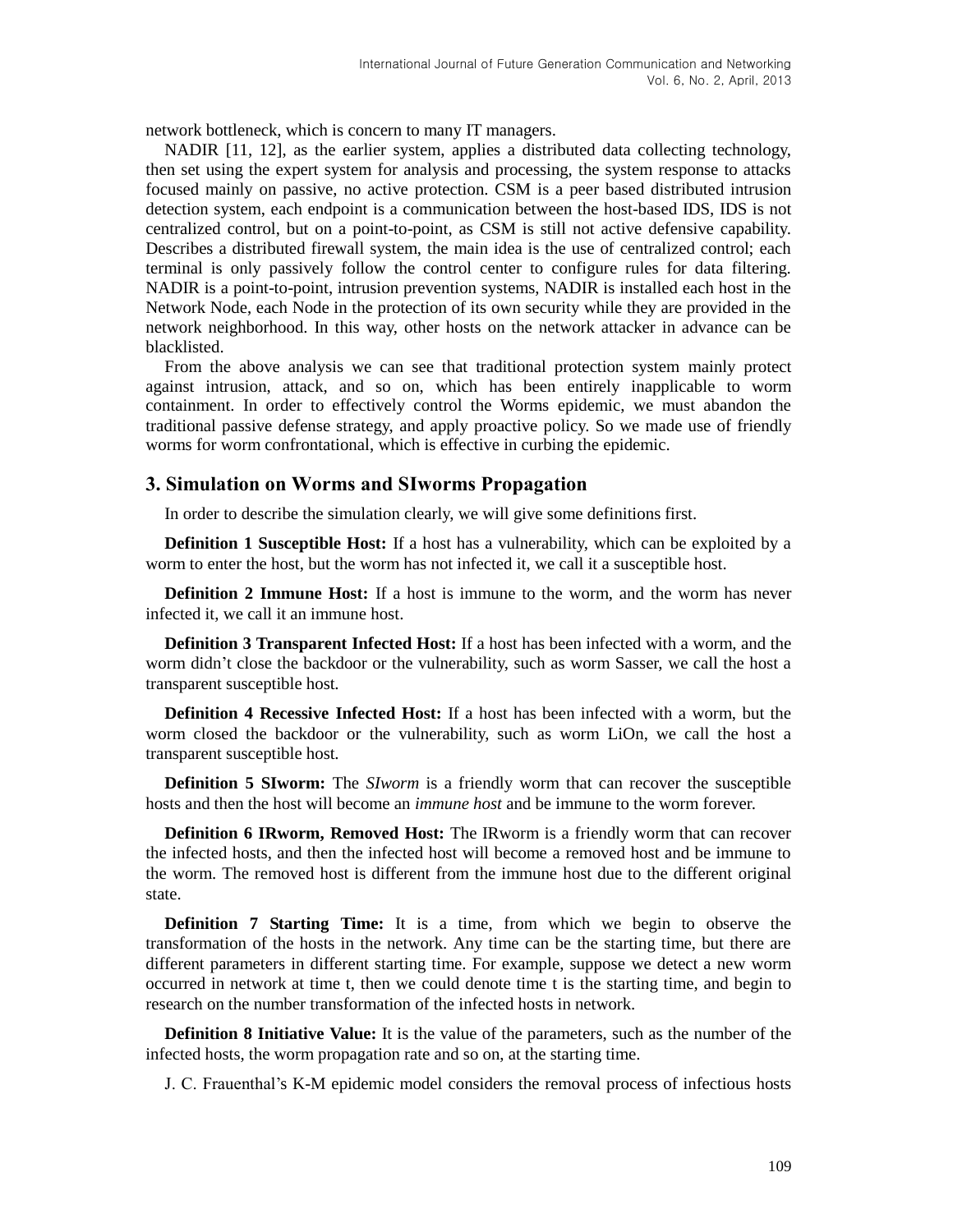network bottleneck, which is concern to many IT managers.

NADIR [11, 12], as the earlier system, applies a distributed data collecting technology, then set using the expert system for analysis and processing, the system response to attacks focused mainly on passive, no active protection. CSM is a peer based distributed intrusion detection system, each endpoint is a communication between the host-based IDS, IDS is not centralized control, but on a point-to-point, as CSM is still not active defensive capability. Describes a distributed firewall system, the main idea is the use of centralized control; each terminal is only passively follow the control center to configure rules for data filtering. NADIR is a point-to-point, intrusion prevention systems, NADIR is installed each host in the Network Node, each Node in the protection of its own security while they are provided in the network neighborhood. In this way, other hosts on the network attacker in advance can be blacklisted.

From the above analysis we can see that traditional protection system mainly protect against intrusion, attack, and so on, which has been entirely inapplicable to worm containment. In order to effectively control the Worms epidemic, we must abandon the traditional passive defense strategy, and apply proactive policy. So we made use of friendly worms for worm confrontational, which is effective in curbing the epidemic.

### **3. Simulation on Worms and SIworms Propagation**

In order to describe the simulation clearly, we will give some definitions first.

**Definition 1 Susceptible Host:** If a host has a vulnerability, which can be exploited by a worm to enter the host, but the worm has not infected it, we call it a susceptible host.

**Definition 2 Immune Host:** If a host is immune to the worm, and the worm has never infected it, we call it an immune host.

**Definition 3 Transparent Infected Host:** If a host has been infected with a worm, and the worm didn't close the backdoor or the vulnerability, such as worm Sasser, we call the host a transparent susceptible host.

**Definition 4 Recessive Infected Host:** If a host has been infected with a worm, but the worm closed the backdoor or the vulnerability, such as worm LiOn, we call the host a transparent susceptible host.

**Definition 5 SIworm:** The *SIworm* is a friendly worm that can recover the susceptible hosts and then the host will become an *immune host* and be immune to the worm forever.

**Definition 6 IRworm, Removed Host:** The IRworm is a friendly worm that can recover the infected hosts, and then the infected host will become a removed host and be immune to the worm. The removed host is different from the immune host due to the different original state.

**Definition 7 Starting Time:** It is a time, from which we begin to observe the transformation of the hosts in the network. Any time can be the starting time, but there are different parameters in different starting time. For example, suppose we detect a new worm occurred in network at time t, then we could denote time t is the starting time, and begin to research on the number transformation of the infected hosts in network.

**Definition 8 Initiative Value:** It is the value of the parameters, such as the number of the infected hosts, the worm propagation rate and so on, at the starting time.

J. C. Frauenthal's K-M epidemic model considers the removal process of infectious hosts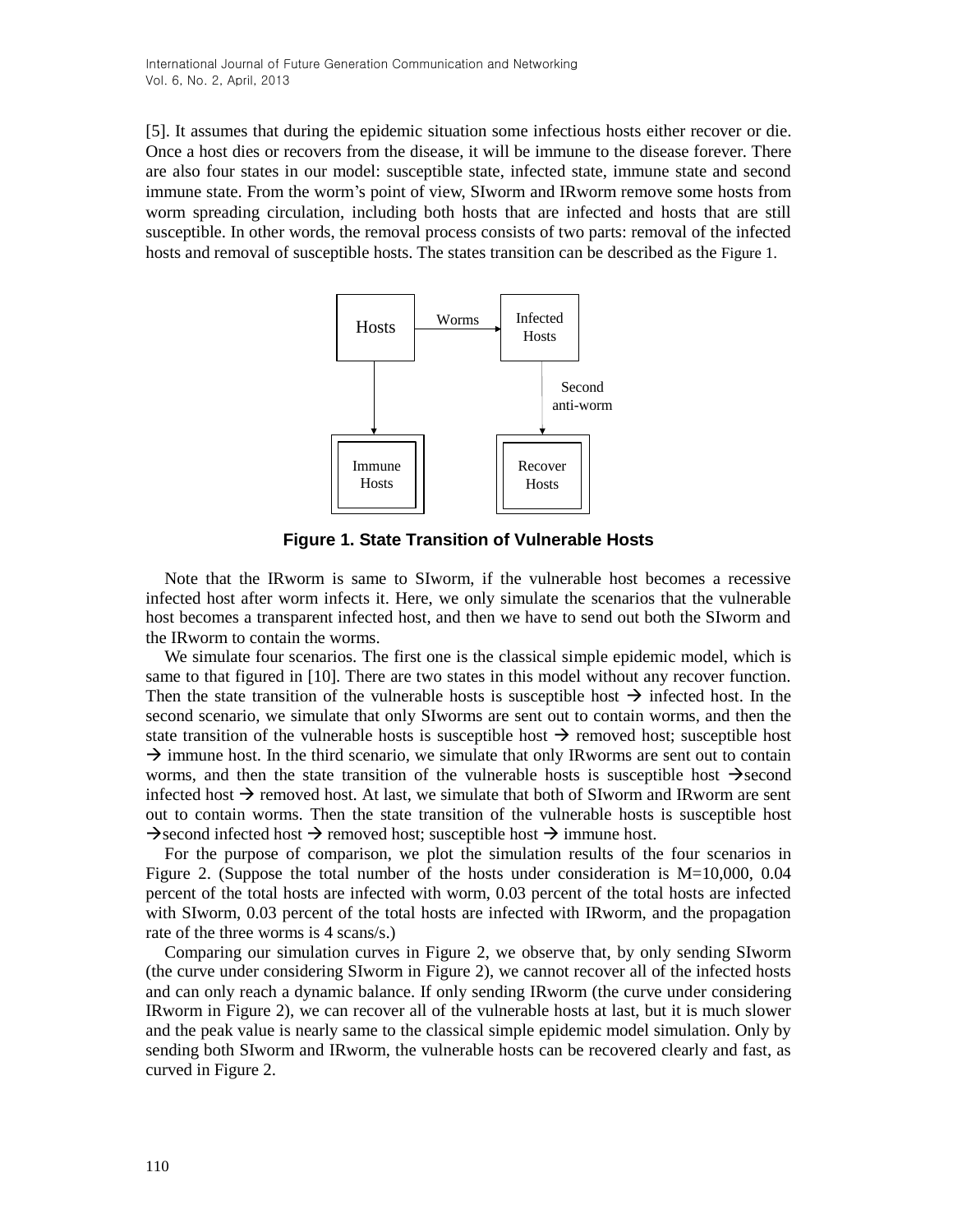[5]. It assumes that during the epidemic situation some infectious hosts either recover or die. Once a host dies or recovers from the disease, it will be immune to the disease forever. There are also four states in our model: susceptible state, infected state, immune state and second immune state. From the worm's point of view, SIworm and IRworm remove some hosts from worm spreading circulation, including both hosts that are infected and hosts that are still susceptible. In other words, the removal process consists of two parts: removal of the infected hosts and removal of susceptible hosts. The states transition can be described as the Figure 1.



**Figure 1. State Transition of Vulnerable Hosts**

Note that the IRworm is same to SIworm, if the vulnerable host becomes a recessive infected host after worm infects it. Here, we only simulate the scenarios that the vulnerable host becomes a transparent infected host, and then we have to send out both the SIworm and the IRworm to contain the worms.

We simulate four scenarios. The first one is the classical simple epidemic model, which is same to that figured in [10]. There are two states in this model without any recover function. Then the state transition of the vulnerable hosts is susceptible host  $\rightarrow$  infected host. In the second scenario, we simulate that only SIworms are sent out to contain worms, and then the state transition of the vulnerable hosts is susceptible host  $\rightarrow$  removed host; susceptible host  $\rightarrow$  immune host. In the third scenario, we simulate that only IRworms are sent out to contain worms, and then the state transition of the vulnerable hosts is susceptible host  $\rightarrow$  second infected host  $\rightarrow$  removed host. At last, we simulate that both of SIworm and IRworm are sent out to contain worms. Then the state transition of the vulnerable hosts is susceptible host  $\rightarrow$  second infected host  $\rightarrow$  removed host; susceptible host  $\rightarrow$  immune host.

For the purpose of comparison, we plot the simulation results of the four scenarios in Figure 2. (Suppose the total number of the hosts under consideration is  $M=10,000, 0.04$ percent of the total hosts are infected with worm, 0.03 percent of the total hosts are infected with SIworm, 0.03 percent of the total hosts are infected with IRworm, and the propagation rate of the three worms is 4 scans/s.)

Comparing our simulation curves in Figure 2, we observe that, by only sending SIworm (the curve under considering SIworm in Figure 2), we cannot recover all of the infected hosts and can only reach a dynamic balance. If only sending IRworm (the curve under considering IRworm in Figure 2), we can recover all of the vulnerable hosts at last, but it is much slower and the peak value is nearly same to the classical simple epidemic model simulation. Only by sending both SIworm and IRworm, the vulnerable hosts can be recovered clearly and fast, as curved in Figure 2.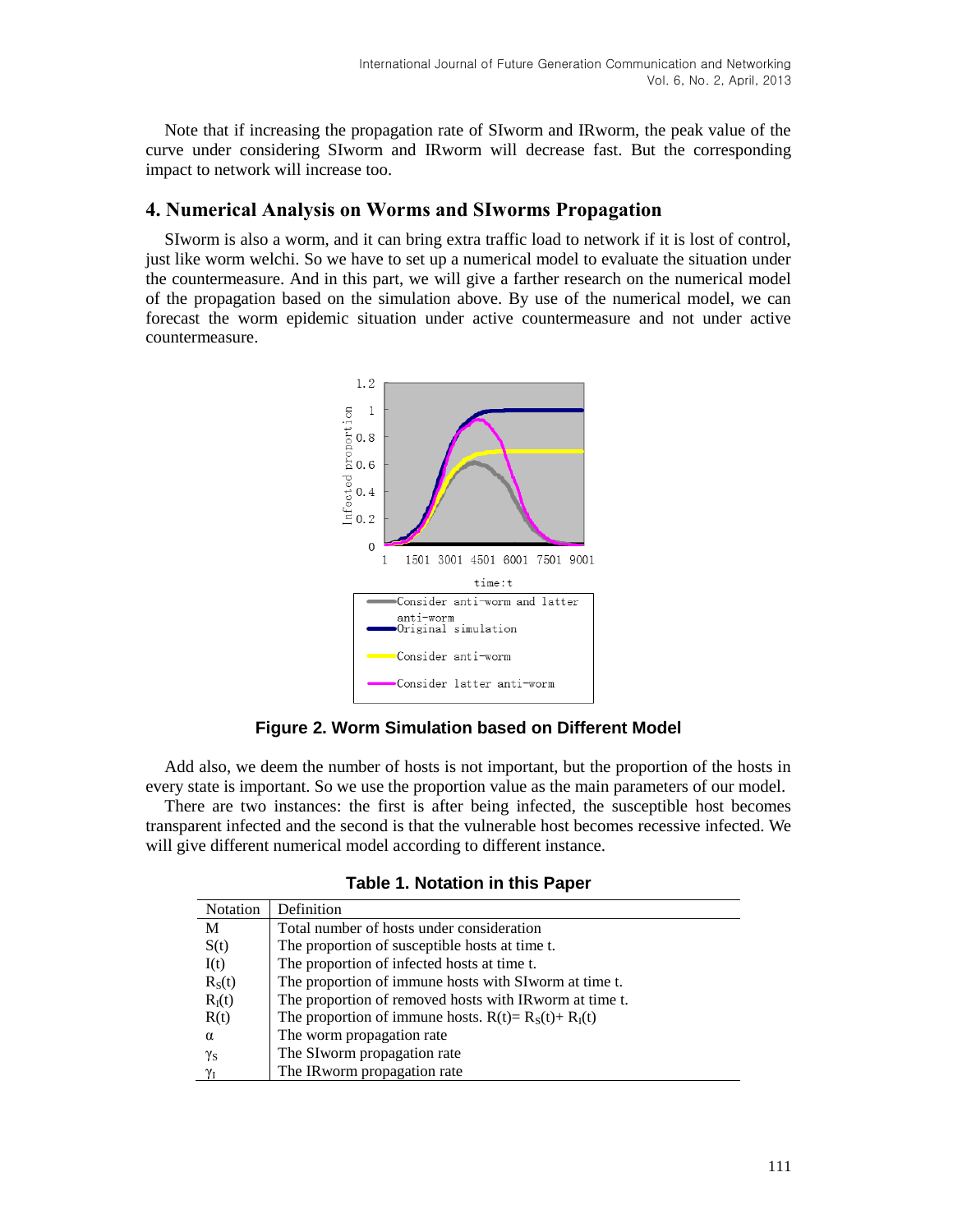Note that if increasing the propagation rate of SIworm and IRworm, the peak value of the curve under considering SIworm and IRworm will decrease fast. But the corresponding impact to network will increase too.

## **4. Numerical Analysis on Worms and SIworms Propagation**

SIworm is also a worm, and it can bring extra traffic load to network if it is lost of control, just like worm welchi. So we have to set up a numerical model to evaluate the situation under the countermeasure. And in this part, we will give a farther research on the numerical model of the propagation based on the simulation above. By use of the numerical model, we can forecast the worm epidemic situation under active countermeasure and not under active countermeasure.



**Figure 2. Worm Simulation based on Different Model**

Add also, we deem the number of hosts is not important, but the proportion of the hosts in every state is important. So we use the proportion value as the main parameters of our model.

There are two instances: the first is after being infected, the susceptible host becomes transparent infected and the second is that the vulnerable host becomes recessive infected. We will give different numerical model according to different instance.

|  |  | <b>Table 1. Notation in this Paper</b> |  |  |  |
|--|--|----------------------------------------|--|--|--|
|--|--|----------------------------------------|--|--|--|

| <b>Notation</b>    | Definition                                               |
|--------------------|----------------------------------------------------------|
| М                  | Total number of hosts under consideration                |
| S(t)               | The proportion of susceptible hosts at time t.           |
| I(t)               | The proportion of infected hosts at time t.              |
| R <sub>S</sub> (t) | The proportion of immune hosts with SI worm at time t.   |
| $R_I(t)$           | The proportion of removed hosts with IR worm at time t.  |
| R(t)               | The proportion of immune hosts. $R(t) = R_S(t) + R_I(t)$ |
| $\alpha$           | The worm propagation rate                                |
| $\gamma_{\rm S}$   | The SI worm propagation rate                             |
| $\gamma_{\rm I}$   | The IRworm propagation rate                              |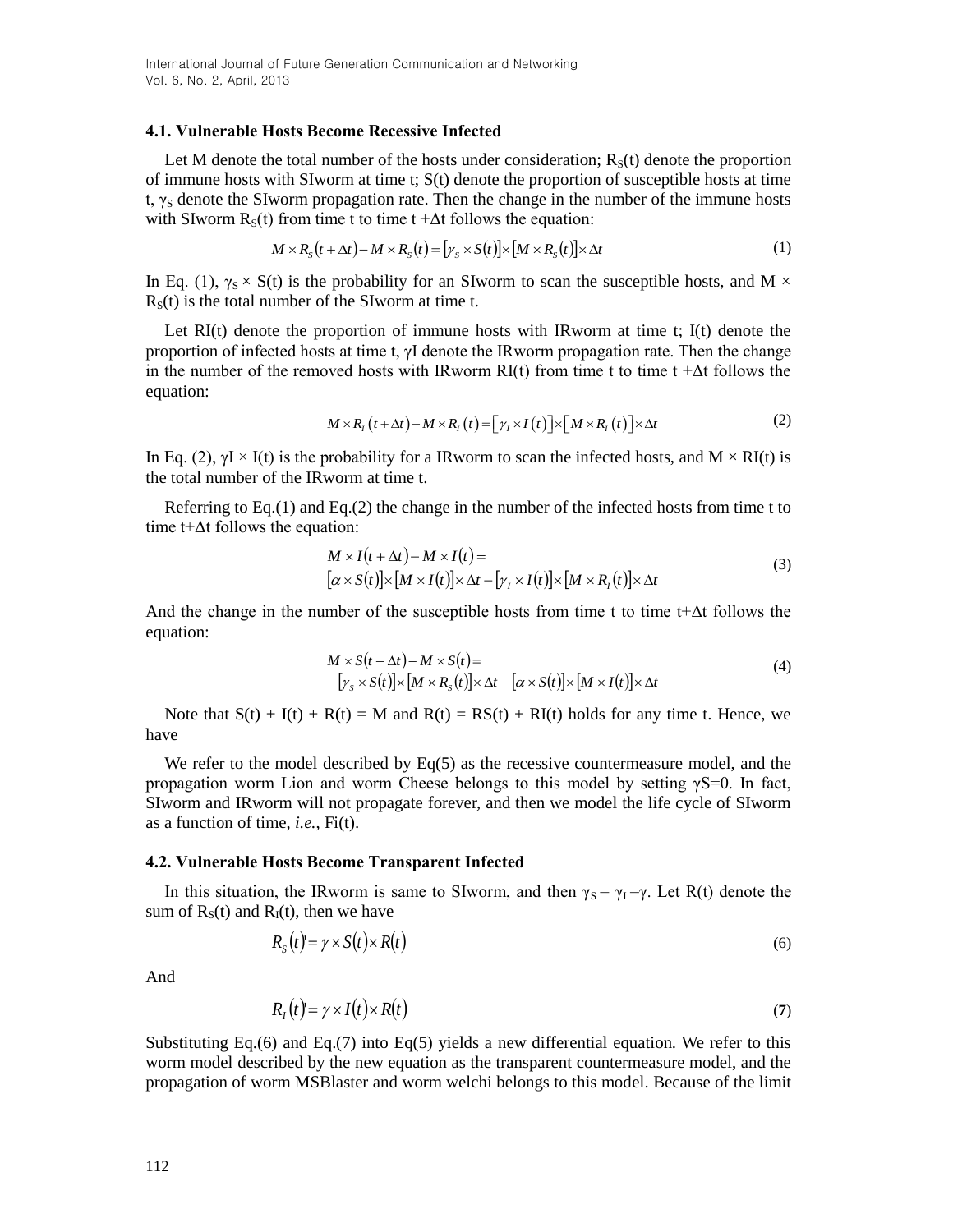### **4.1. Vulnerable Hosts Become Recessive Infected**

Let M denote the total number of the hosts under consideration;  $R<sub>s</sub>(t)$  denote the proportion of immune hosts with SIworm at time t; S(t) denote the proportion of susceptible hosts at time t,  $\gamma_S$  denote the SIworm propagation rate. Then the change in the number of the immune hosts with SIworm  $R<sub>s</sub>(t)$  from time t to time t + $\Delta t$  follows the equation:

$$
M \times R_{S}(t + \Delta t) - M \times R_{S}(t) = [\gamma_{S} \times S(t)] \times [M \times R_{S}(t)] \times \Delta t
$$
\n(1)

In Eq. (1),  $\gamma_s \times S(t)$  is the probability for an SIworm to scan the susceptible hosts, and M  $\times$  $R<sub>S</sub>(t)$  is the total number of the SIworm at time t.

Let  $RI(t)$  denote the proportion of immune hosts with IRworm at time t; I(t) denote the proportion of infected hosts at time t, γI denote the IRworm propagation rate. Then the change in the number of the removed hosts with IRworm  $RI(t)$  from time t to time t + $\Delta t$  follows the equation:  $M \times R_t(t+\Delta t) - M \times R_t(t) = [\gamma_t \times I(t)] \times [M \times R_t(t)] \times \Delta t$ 

$$
M \times R_t(t + \Delta t) - M \times R_t(t) = \left[ \gamma_t \times I(t) \right] \times \left[ M \times R_t(t) \right] \times \Delta t \tag{2}
$$

In Eq. (2),  $\gamma I \times I(t)$  is the probability for a IRworm to scan the infected hosts, and  $M \times R I(t)$  is the total number of the IRworm at time t.

Referring to Eq.(1) and Eq.(2) the change in the number of the infected hosts from time t to time t+ $\Delta t$  follows the equation:

$$
M \times I(t + \Delta t) - M \times I(t) =
$$
  
\n
$$
[\alpha \times S(t)] \times [M \times I(t)] \times \Delta t - [\gamma_t \times I(t)] \times [M \times R_t(t)] \times \Delta t
$$
 (3)

And the change in the number of the susceptible hosts from time t to time t+ $\Delta t$  follows the equation:

$$
M \times S(t + \Delta t) - M \times S(t) =
$$
  
 
$$
- [y_s \times S(t)] \times [M \times R_s(t)] \times \Delta t - [\alpha \times S(t)] \times [M \times I(t)] \times \Delta t
$$
 (4)

Note that  $S(t) + I(t) + R(t) = M$  and  $R(t) = RS(t) + RI(t)$  holds for any time t. Hence, we have

We refer to the model described by  $Eq(5)$  as the recessive countermeasure model, and the propagation worm Lion and worm Cheese belongs to this model by setting  $\gamma S=0$ . In fact, SIworm and IRworm will not propagate forever, and then we model the life cycle of SIworm as a function of time, *i.e.*, Fi(t).

### **4.2. Vulnerable Hosts Become Transparent Infected**

In this situation, the IRworm is same to SIworm, and then  $\gamma_s = \gamma_1 = \gamma$ . Let R(t) denote the sum of  $R<sub>S</sub>(t)$  and  $R<sub>I</sub>(t)$ , then we have

$$
R_{S}(t) = \gamma \times S(t) \times R(t) \tag{6}
$$

And

$$
R_I(t) = \gamma \times I(t) \times R(t) \tag{7}
$$

Substituting Eq.(6) and Eq.(7) into Eq.(5) yields a new differential equation. We refer to this worm model described by the new equation as the transparent countermeasure model, and the propagation of worm MSBlaster and worm welchi belongs to this model. Because of the limit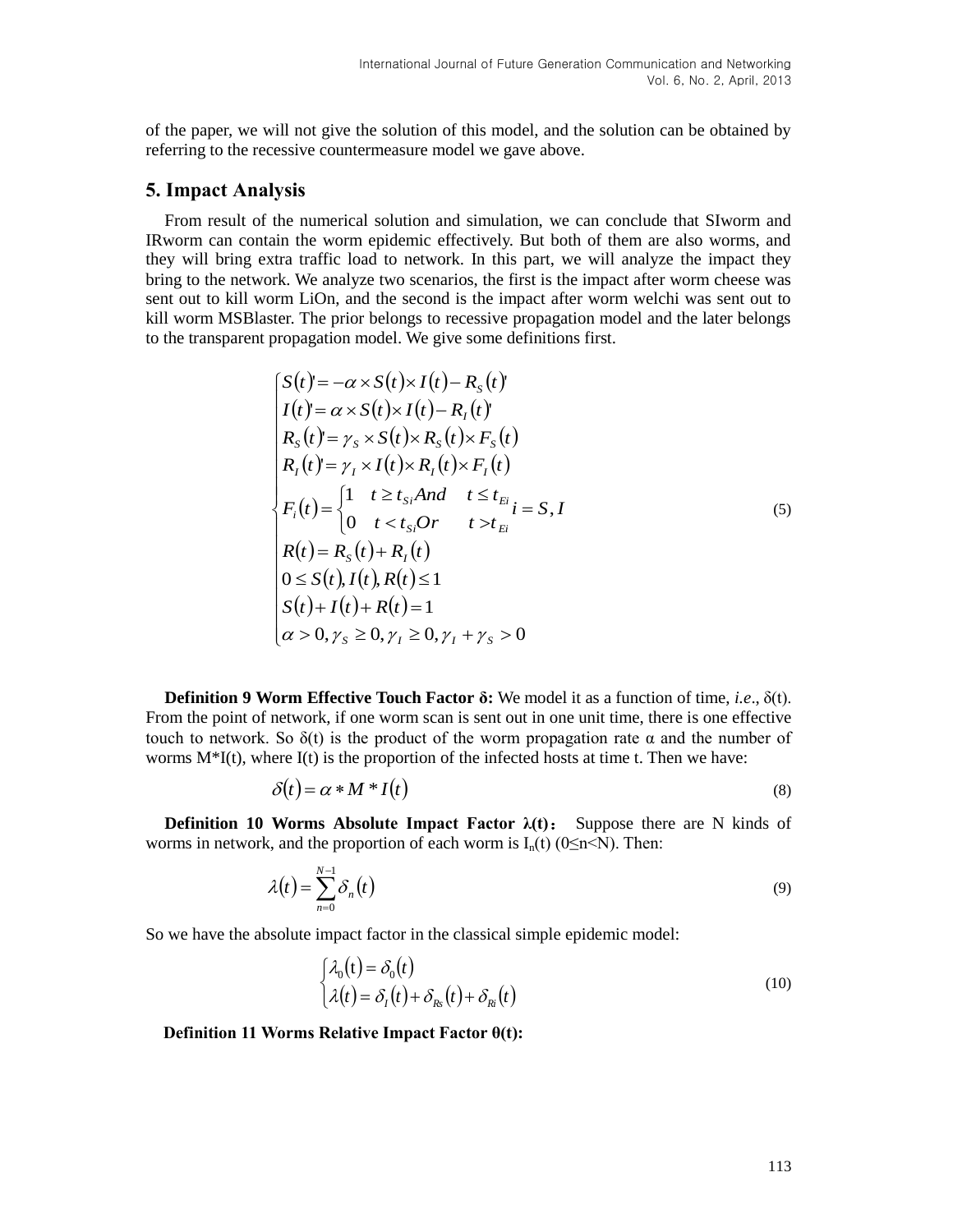of the paper, we will not give the solution of this model, and the solution can be obtained by referring to the recessive countermeasure model we gave above.

### **5. Impact Analysis**

From result of the numerical solution and simulation, we can conclude that SIworm and IRworm can contain the worm epidemic effectively. But both of them are also worms, and they will bring extra traffic load to network. In this part, we will analyze the impact they bring to the network. We analyze two scenarios, the first is the impact after worm cheese was sent out to kill worm LiOn, and the second is the impact after worm welchi was sent out to kill worm MSBlaster. The prior belongs to recessive propagation model and the later belongs to the transparent propagation model. We give some definitions first.

$$
\begin{cases}\nS(t)' = -\alpha \times S(t) \times I(t) - R_s(t) \\
I(t) = \alpha \times S(t) \times I(t) - R_t(t) \\
R_s(t)' = \gamma_s \times S(t) \times R_s(t) \times F_s(t) \\
R_t(t)' = \gamma_t \times I(t) \times R_t(t) \times F_t(t) \\
F_t(t) = \begin{cases}\n1 & t \ge t_{si} \text{ and } t \le t_{ti}} \\
1 & t \ge t_{si} \text{ and } t \le t_{ti}} \\
0 & t < t_{si} \text{ or } t > t_{ti}\n\end{cases} \\
R(t) = R_s(t) + R_t(t) \\
0 \le S(t), I(t), R(t) \le 1 \\
S(t) + I(t) + R(t) = 1 \\
\alpha > 0, \gamma_s \ge 0, \gamma_t \ge 0, \gamma_t + \gamma_s > 0\n\end{cases}
$$
\n(5)

**Definition 9 Worm Effective Touch Factor δ:** We model it as a function of time, *i.e*., δ(t). From the point of network, if one worm scan is sent out in one unit time, there is one effective touch to network. So  $\delta(t)$  is the product of the worm propagation rate α and the number of worms  $M^*[t]$ , where  $I(t)$  is the proportion of the infected hosts at time t. Then we have:

$$
\delta(t) = \alpha * M * I(t) \tag{8}
$$

**Definition 10 Worms Absolute Impact Factor**  $\lambda(t)$ **:** Suppose there are N kinds of worms in network, and the proportion of each worm is  $I_n(t)$  (0 $\leq n \leq N$ ). Then:

$$
\lambda(t) = \sum_{n=0}^{N-1} \delta_n(t) \tag{9}
$$

So we have the absolute impact factor in the classical simple epidemic model:

$$
\begin{cases}\n\lambda_0(t) = \delta_0(t) \\
\lambda(t) = \delta_1(t) + \delta_{Rs}(t) + \delta_{Ri}(t)\n\end{cases}
$$
\n(10)

#### **Definition 11 Worms Relative Impact Factor θ(t):**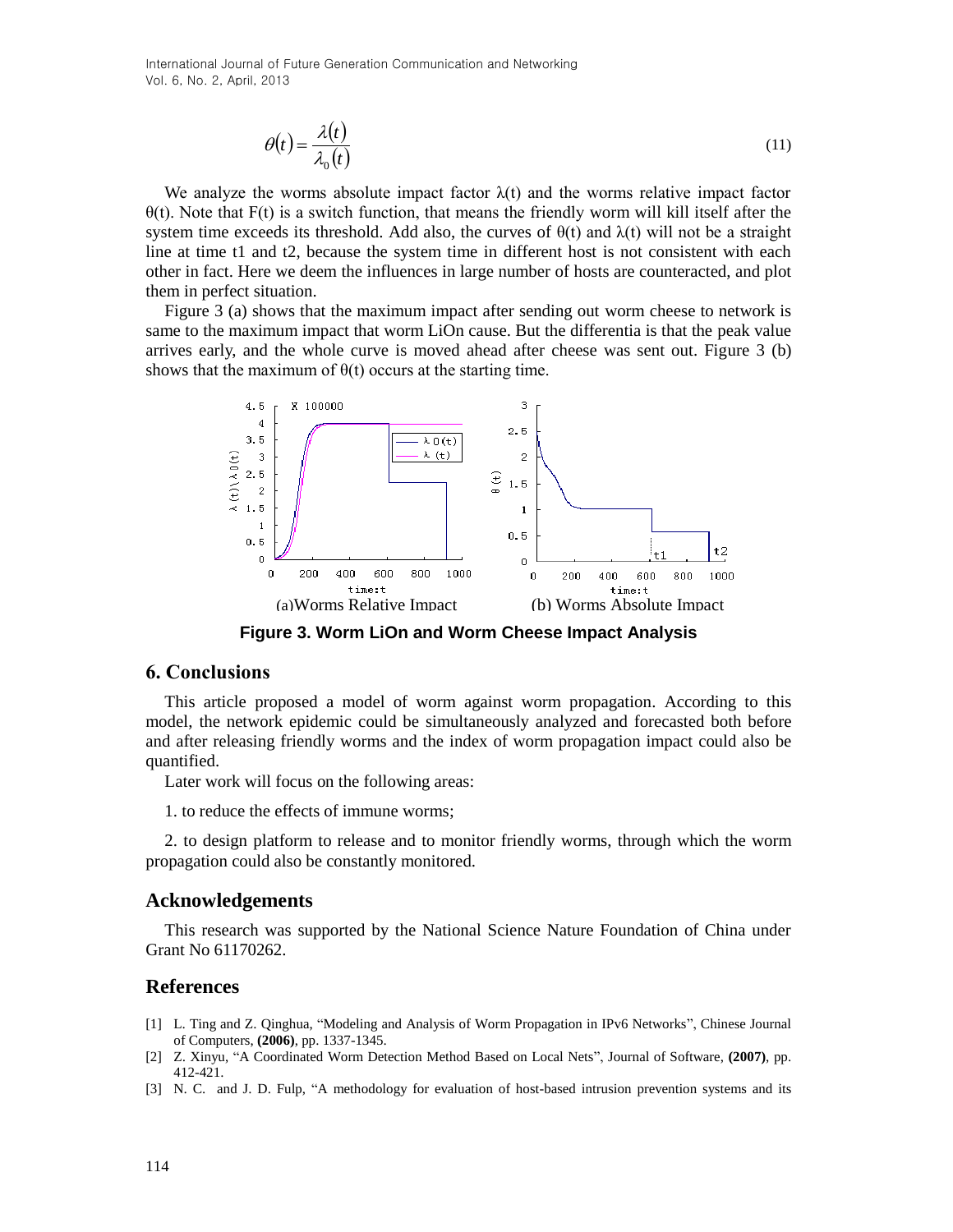International Journal of Future Generation Communication and Networking Vol. 6, No. 2, April, 2013

$$
\theta(t) = \frac{\lambda(t)}{\lambda_0(t)}\tag{11}
$$

We analyze the worms absolute impact factor  $\lambda(t)$  and the worms relative impact factor  $\theta(t)$ . Note that F(t) is a switch function, that means the friendly worm will kill itself after the system time exceeds its threshold. Add also, the curves of  $\theta(t)$  and  $\lambda(t)$  will not be a straight line at time t1 and t2, because the system time in different host is not consistent with each other in fact. Here we deem the influences in large number of hosts are counteracted, and plot them in perfect situation.

Figure 3 (a) shows that the maximum impact after sending out worm cheese to network is same to the maximum impact that worm LiOn cause. But the differentia is that the peak value arrives early, and the whole curve is moved ahead after cheese was sent out. Figure 3 (b) shows that the maximum of  $\theta(t)$  occurs at the starting time.



**Figure 3. Worm LiOn and Worm Cheese Impact Analysis** 

## **6. Conclusions**

This article proposed a model of worm against worm propagation. According to this model, the network epidemic could be simultaneously analyzed and forecasted both before and after releasing friendly worms and the index of worm propagation impact could also be quantified.

Later work will focus on the following areas:

1. to reduce the effects of immune worms;

2. to design platform to release and to monitor friendly worms, through which the worm propagation could also be constantly monitored.

### **Acknowledgements**

This research was supported by the National Science Nature Foundation of China under Grant No 61170262.

## **References**

- [1] L. Ting and Z. Qinghua, "Modeling and Analysis of Worm Propagation in IPv6 Networks", Chinese Journal of Computers, **(2006)**, pp. 1337-1345.
- [2] Z. Xinyu, "A Coordinated Worm Detection Method Based on Local Nets", Journal of Software, **(2007)**, pp. 412-421.
- [3] N. C. and J. D. [Fulp,](http://www.engineeringvillage.com/controller/servlet/Controller?CID=quickSearchCitationFormat&searchWord1=%7bFulp%2C+J.D.%7d§ion1=AU&database=5&yearselect=yearrange&sort=yr) "A methodology for evaluation of host-based intrusion prevention systems and its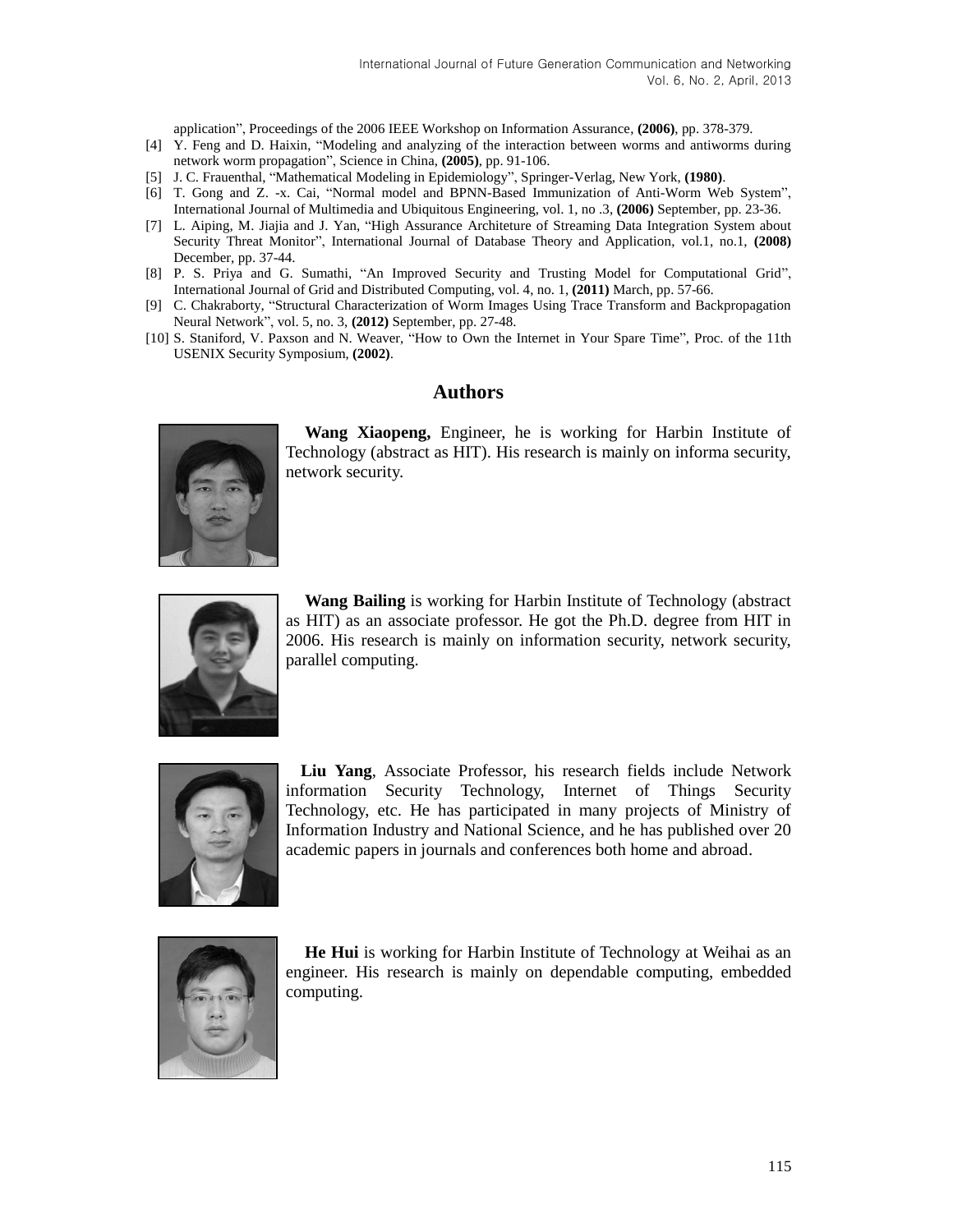application", Proceedings of the 2006 IEEE Workshop on Information Assurance, **(2006)**, pp. 378-379.

- [4] Y. Feng and D. Haixin, "Modeling and analyzing of the interaction between worms and antiworms during network worm propagation", Science in China, **(2005)**, pp. 91-106.
- [5] J. C. Frauenthal, "Mathematical Modeling in Epidemiology", Springer-Verlag, New York, **(1980)**.
- [6] T. Gong and Z. -x. Cai, "Normal model and BPNN-Based Immunization of Anti-Worm Web System", International Journal of Multimedia and Ubiquitous Engineering, vol. 1, no .3, **(2006)** September, pp. 23-36.
- [7] L. Aiping, M. Jiajia and J. Yan, "High Assurance Architeture of Streaming Data Integration System about Security Threat Monitor", International Journal of Database Theory and Application, vol.1, no.1, **(2008)** December, pp. 37-44.
- [8] P. S. Priya and G. Sumathi, "An Improved Security and Trusting Model for Computational Grid", International Journal of Grid and Distributed Computing, vol. 4, no. 1, **(2011)** March, pp. 57-66.
- [9] C. Chakraborty, "Structural Characterization of Worm Images Using Trace Transform and Backpropagation Neural Network", vol. 5, no. 3, **(2012)** September, pp. 27-48.
- [10] S. Staniford, V. Paxson and N. Weaver, "How to Own the Internet in Your Spare Time", Proc. of the 11th USENIX Security Symposium, **(2002)**.

### **Authors**



**Wang Xiaopeng,** Engineer, he is working for Harbin Institute of Technology (abstract as HIT). His research is mainly on informa security, network security.



**Wang Bailing** is working for Harbin Institute of Technology (abstract as HIT) as an associate professor. He got the Ph.D. degree from HIT in 2006. His research is mainly on information security, network security, parallel computing.



**Liu Yang**, Associate Professor, his research fields include Network information Security Technology, Internet of Things Security Technology, etc. He has participated in many projects of Ministry of Information Industry and National Science, and he has published over 20 academic papers in journals and conferences both home and abroad.



**He Hui** is working for Harbin Institute of Technology at Weihai as an engineer. His research is mainly on dependable computing, embedded computing.